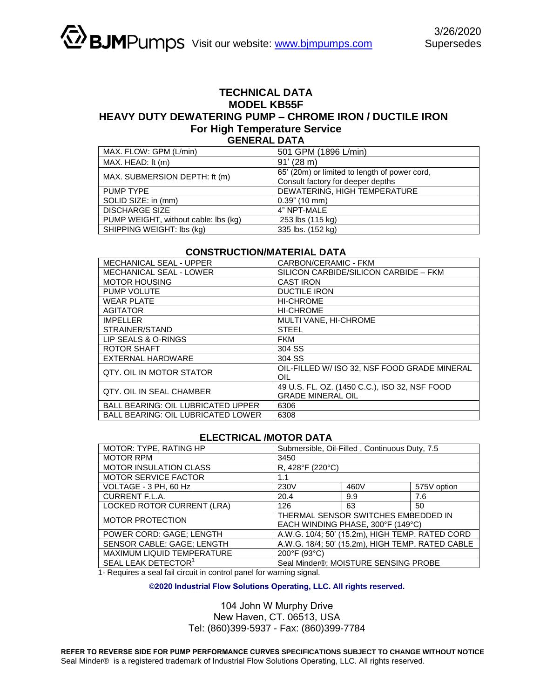## **TECHNICAL DATA MODEL KB55F HEAVY DUTY DEWATERING PUMP – CHROME IRON / DUCTILE IRON For High Temperature Service GENERAL DATA**

| MAX. FLOW: GPM (L/min)               | 501 GPM (1896 L/min)                          |  |  |
|--------------------------------------|-----------------------------------------------|--|--|
| MAX. HEAD: ft (m)                    | 91' (28 m)                                    |  |  |
| MAX. SUBMERSION DEPTH: ft (m)        | 65' (20m) or limited to length of power cord, |  |  |
|                                      | Consult factory for deeper depths             |  |  |
| <b>PUMP TYPE</b>                     | DEWATERING, HIGH TEMPERATURE                  |  |  |
| SOLID SIZE: in (mm)                  | $0.39$ " (10 mm)                              |  |  |
| <b>DISCHARGE SIZE</b>                | 4" NPT-MALE                                   |  |  |
| PUMP WEIGHT, without cable: lbs (kg) | 253 lbs (115 kg)                              |  |  |
| SHIPPING WEIGHT: lbs (kg)            | 335 lbs. (152 kg)                             |  |  |

## **CONSTRUCTION/MATERIAL DATA**

| <b>MECHANICAL SEAL - UPPER</b>            | CARBON/CERAMIC - FKM                                                      |  |  |
|-------------------------------------------|---------------------------------------------------------------------------|--|--|
| <b>MECHANICAL SEAL - LOWER</b>            | SILICON CARBIDE/SILICON CARBIDE - FKM                                     |  |  |
| <b>MOTOR HOUSING</b>                      | <b>CAST IRON</b>                                                          |  |  |
| PUMP VOLUTE                               | <b>DUCTILE IRON</b>                                                       |  |  |
| <b>WEAR PLATE</b>                         | <b>HI-CHROME</b>                                                          |  |  |
| <b>AGITATOR</b>                           | <b>HI-CHROME</b>                                                          |  |  |
| <b>IMPELLER</b>                           | MULTI VANE, HI-CHROME                                                     |  |  |
| STRAINER/STAND                            | <b>STEEL</b>                                                              |  |  |
| LIP SEALS & O-RINGS                       | <b>FKM</b>                                                                |  |  |
| ROTOR SHAFT                               | 304 SS                                                                    |  |  |
| <b>EXTERNAL HARDWARE</b>                  | 304 SS                                                                    |  |  |
| QTY. OIL IN MOTOR STATOR                  | OIL-FILLED W/ ISO 32, NSF FOOD GRADE MINERAL<br>OIL                       |  |  |
| <b>QTY. OIL IN SEAL CHAMBER</b>           | 49 U.S. FL. OZ. (1450 C.C.), ISO 32, NSF FOOD<br><b>GRADE MINERAL OIL</b> |  |  |
| <b>BALL BEARING: OIL LUBRICATED UPPER</b> | 6306                                                                      |  |  |
| <b>BALL BEARING: OIL LUBRICATED LOWER</b> | 6308                                                                      |  |  |

## **ELECTRICAL /MOTOR DATA**

| MOTOR: TYPE, RATING HP          | Submersible, Oil-Filled, Continuous Duty, 7.5    |      |             |  |
|---------------------------------|--------------------------------------------------|------|-------------|--|
| <b>MOTOR RPM</b>                | 3450                                             |      |             |  |
| <b>MOTOR INSULATION CLASS</b>   | R, 428°F (220°C)                                 |      |             |  |
| MOTOR SERVICE FACTOR            | 1.1                                              |      |             |  |
| VOLTAGE - 3 PH, 60 Hz           | 230V                                             | 460V | 575V option |  |
| CURRENT F.L.A.                  | 20.4                                             | 9.9  | 7.6         |  |
| LOCKED ROTOR CURRENT (LRA)      | 126                                              | 63   | 50          |  |
| <b>MOTOR PROTECTION</b>         | THERMAL SENSOR SWITCHES EMBEDDED IN              |      |             |  |
|                                 | EACH WINDING PHASE, 300°F (149°C)                |      |             |  |
| POWER CORD: GAGE; LENGTH        | A.W.G. 10/4; 50' (15.2m), HIGH TEMP. RATED CORD  |      |             |  |
| SENSOR CABLE: GAGE; LENGTH      | A.W.G. 18/4; 50' (15.2m), HIGH TEMP. RATED CABLE |      |             |  |
| MAXIMUM LIQUID TEMPERATURE      | 200°F (93°C)                                     |      |             |  |
| SEAL LEAK DETECTOR <sup>1</sup> | Seal Minder®; MOISTURE SENSING PROBE             |      |             |  |

1- Requires a seal fail circuit in control panel for warning signal.

**©2020 Industrial Flow Solutions Operating, LLC. All rights reserved.** 

## 104 John W Murphy Drive New Haven, CT. 06513, USA Tel: (860)399-5937 - Fax: (860)399-7784